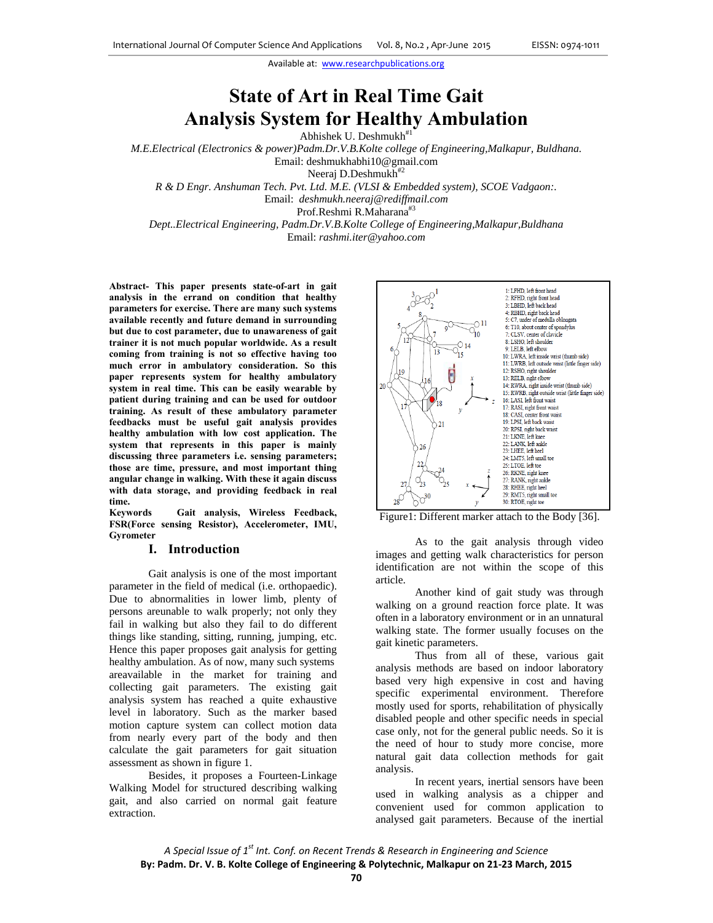# **State of Art in Real Time Gait Analysis System for Healthy Ambulation**

Abhishek U. Deshmukh<sup>#1</sup>

*M.E.Electrical (Electronics & power)Padm.Dr.V.B.Kolte college of Engineering,Malkapur, Buldhana.* 

Email: deshmukhabhi10@gmail.com

Neeraj D.Deshmukh<sup>#2</sup>

*R & D Engr. Anshuman Tech. Pvt. Ltd. M.E. (VLSI & Embedded system), SCOE Vadgaon:.* 

Email: *deshmukh.neeraj@rediffmail.com*

Prof.Reshmi R.Maharana<sup>#3</sup>

*Dept..Electrical Engineering, Padm.Dr.V.B.Kolte College of Engineering,Malkapur,Buldhana*  Email: *rashmi.iter@yahoo.com*

**Abstract- This paper presents state-of-art in gait analysis in the errand on condition that healthy parameters for exercise. There are many such systems available recently and future demand in surrounding but due to cost parameter, due to unawareness of gait trainer it is not much popular worldwide. As a result coming from training is not so effective having too much error in ambulatory consideration. So this paper represents system for healthy ambulatory system in real time. This can be easily wearable by patient during training and can be used for outdoor training. As result of these ambulatory parameter feedbacks must be useful gait analysis provides healthy ambulation with low cost application. The system that represents in this paper is mainly discussing three parameters i.e. sensing parameters; those are time, pressure, and most important thing angular change in walking. With these it again discuss with data storage, and providing feedback in real time.** 

**Keywords Gait analysis, Wireless Feedback, FSR(Force sensing Resistor), Accelerometer, IMU, Gyrometer** 

## **I. Introduction**

Gait analysis is one of the most important parameter in the field of medical (i.e. orthopaedic). Due to abnormalities in lower limb, plenty of persons areunable to walk properly; not only they fail in walking but also they fail to do different things like standing, sitting, running, jumping, etc. Hence this paper proposes gait analysis for getting healthy ambulation. As of now, many such systems areavailable in the market for training and collecting gait parameters. The existing gait analysis system has reached a quite exhaustive level in laboratory. Such as the marker based motion capture system can collect motion data from nearly every part of the body and then calculate the gait parameters for gait situation assessment as shown in figure 1.

Besides, it proposes a Fourteen-Linkage Walking Model for structured describing walking gait, and also carried on normal gait feature extraction.





As to the gait analysis through video images and getting walk characteristics for person identification are not within the scope of this article.

Another kind of gait study was through walking on a ground reaction force plate. It was often in a laboratory environment or in an unnatural walking state. The former usually focuses on the gait kinetic parameters.

Thus from all of these, various gait analysis methods are based on indoor laboratory based very high expensive in cost and having specific experimental environment. Therefore mostly used for sports, rehabilitation of physically disabled people and other specific needs in special case only, not for the general public needs. So it is the need of hour to study more concise, more natural gait data collection methods for gait analysis.

 In recent years, inertial sensors have been used in walking analysis as a chipper and convenient used for common application to analysed gait parameters. Because of the inertial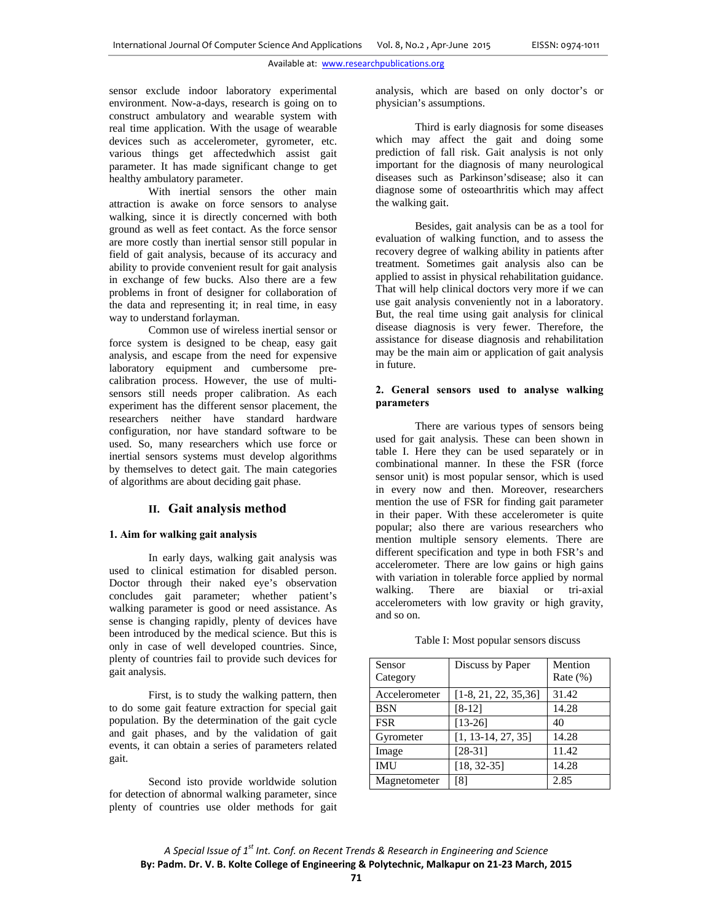sensor exclude indoor laboratory experimental environment. Now-a-days, research is going on to construct ambulatory and wearable system with real time application. With the usage of wearable devices such as accelerometer, gyrometer, etc. various things get affectedwhich assist gait parameter. It has made significant change to get healthy ambulatory parameter.

 With inertial sensors the other main attraction is awake on force sensors to analyse walking, since it is directly concerned with both ground as well as feet contact. As the force sensor are more costly than inertial sensor still popular in field of gait analysis, because of its accuracy and ability to provide convenient result for gait analysis in exchange of few bucks. Also there are a few problems in front of designer for collaboration of the data and representing it; in real time, in easy way to understand forlayman.

 Common use of wireless inertial sensor or force system is designed to be cheap, easy gait analysis, and escape from the need for expensive laboratory equipment and cumbersome precalibration process. However, the use of multisensors still needs proper calibration. As each experiment has the different sensor placement, the researchers neither have standard hardware configuration, nor have standard software to be used. So, many researchers which use force or inertial sensors systems must develop algorithms by themselves to detect gait. The main categories of algorithms are about deciding gait phase.

## **II. Gait analysis method**

## **1. Aim for walking gait analysis**

In early days, walking gait analysis was used to clinical estimation for disabled person. Doctor through their naked eye's observation concludes gait parameter; whether patient's walking parameter is good or need assistance. As sense is changing rapidly, plenty of devices have been introduced by the medical science. But this is only in case of well developed countries. Since, plenty of countries fail to provide such devices for gait analysis.

First, is to study the walking pattern, then to do some gait feature extraction for special gait population. By the determination of the gait cycle and gait phases, and by the validation of gait events, it can obtain a series of parameters related gait.

Second isto provide worldwide solution for detection of abnormal walking parameter, since plenty of countries use older methods for gait analysis, which are based on only doctor's or physician's assumptions.

Third is early diagnosis for some diseases which may affect the gait and doing some prediction of fall risk. Gait analysis is not only important for the diagnosis of many neurological diseases such as Parkinson'sdisease; also it can diagnose some of osteoarthritis which may affect the walking gait.

Besides, gait analysis can be as a tool for evaluation of walking function, and to assess the recovery degree of walking ability in patients after treatment. Sometimes gait analysis also can be applied to assist in physical rehabilitation guidance. That will help clinical doctors very more if we can use gait analysis conveniently not in a laboratory. But, the real time using gait analysis for clinical disease diagnosis is very fewer. Therefore, the assistance for disease diagnosis and rehabilitation may be the main aim or application of gait analysis in future.

## **2. General sensors used to analyse walking parameters**

There are various types of sensors being used for gait analysis. These can been shown in table I. Here they can be used separately or in combinational manner. In these the FSR (force sensor unit) is most popular sensor, which is used in every now and then. Moreover, researchers mention the use of FSR for finding gait parameter in their paper. With these accelerometer is quite popular; also there are various researchers who mention multiple sensory elements. There are different specification and type in both FSR's and accelerometer. There are low gains or high gains with variation in tolerable force applied by normal walking. There are biaxial or tri-axial accelerometers with low gravity or high gravity, and so on.

|  |  | Table I: Most popular sensors discuss |  |  |
|--|--|---------------------------------------|--|--|
|--|--|---------------------------------------|--|--|

| Sensor        | Discuss by Paper        | Mention     |
|---------------|-------------------------|-------------|
| Category      |                         | Rate $(\%)$ |
| Accelerometer | $[1-8, 21, 22, 35, 36]$ | 31.42       |
| <b>BSN</b>    | $[8-12]$                | 14.28       |
| <b>FSR</b>    | $[13-26]$               | 40          |
| Gyrometer     | $[1, 13-14, 27, 35]$    | 14.28       |
| Image         | $[28-31]$               | 11.42       |
| <b>IMU</b>    | $[18, 32-35]$           | 14.28       |
| Magnetometer  | [8]                     | 2.85        |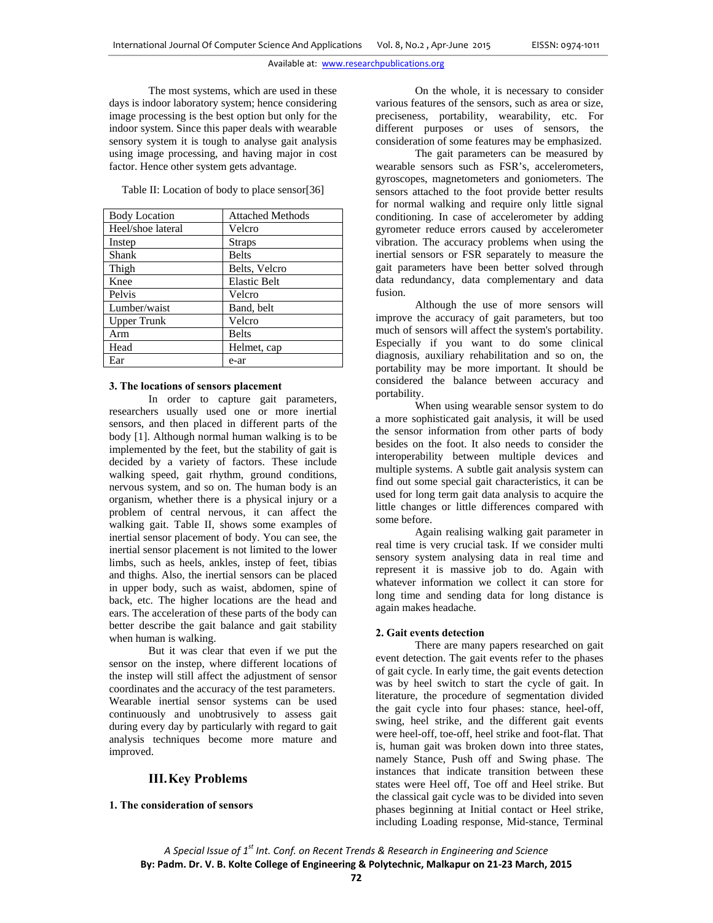The most systems, which are used in these days is indoor laboratory system; hence considering image processing is the best option but only for the indoor system. Since this paper deals with wearable sensory system it is tough to analyse gait analysis using image processing, and having major in cost factor. Hence other system gets advantage.

Table II: Location of body to place sensor[36]

| <b>Body Location</b> | <b>Attached Methods</b> |
|----------------------|-------------------------|
| Heel/shoe lateral    | Velcro                  |
| Instep               | <b>Straps</b>           |
| Shank                | <b>Belts</b>            |
| Thigh                | Belts, Velcro           |
| Knee                 | <b>Elastic Belt</b>     |
| Pelvis               | Velcro                  |
| Lumber/waist         | Band, belt              |
| <b>Upper Trunk</b>   | Velcro                  |
| Arm                  | <b>Belts</b>            |
| Head                 | Helmet, cap             |
| Ear                  | e-ar                    |

#### **3. The locations of sensors placement**

In order to capture gait parameters, researchers usually used one or more inertial sensors, and then placed in different parts of the body [1]. Although normal human walking is to be implemented by the feet, but the stability of gait is decided by a variety of factors. These include walking speed, gait rhythm, ground conditions, nervous system, and so on. The human body is an organism, whether there is a physical injury or a problem of central nervous, it can affect the walking gait. Table II, shows some examples of inertial sensor placement of body. You can see, the inertial sensor placement is not limited to the lower limbs, such as heels, ankles, instep of feet, tibias and thighs. Also, the inertial sensors can be placed in upper body, such as waist, abdomen, spine of back, etc. The higher locations are the head and ears. The acceleration of these parts of the body can better describe the gait balance and gait stability when human is walking.

But it was clear that even if we put the sensor on the instep, where different locations of the instep will still affect the adjustment of sensor coordinates and the accuracy of the test parameters. Wearable inertial sensor systems can be used continuously and unobtrusively to assess gait during every day by particularly with regard to gait analysis techniques become more mature and improved.

## **III.Key Problems**

## **1. The consideration of sensors**

On the whole, it is necessary to consider various features of the sensors, such as area or size, preciseness, portability, wearability, etc. For different purposes or uses of sensors, the consideration of some features may be emphasized.

The gait parameters can be measured by wearable sensors such as FSR's, accelerometers, gyroscopes, magnetometers and goniometers. The sensors attached to the foot provide better results for normal walking and require only little signal conditioning. In case of accelerometer by adding gyrometer reduce errors caused by accelerometer vibration. The accuracy problems when using the inertial sensors or FSR separately to measure the gait parameters have been better solved through data redundancy, data complementary and data fusion.

Although the use of more sensors will improve the accuracy of gait parameters, but too much of sensors will affect the system's portability. Especially if you want to do some clinical diagnosis, auxiliary rehabilitation and so on, the portability may be more important. It should be considered the balance between accuracy and portability.

When using wearable sensor system to do a more sophisticated gait analysis, it will be used the sensor information from other parts of body besides on the foot. It also needs to consider the interoperability between multiple devices and multiple systems. A subtle gait analysis system can find out some special gait characteristics, it can be used for long term gait data analysis to acquire the little changes or little differences compared with some before.

Again realising walking gait parameter in real time is very crucial task. If we consider multi sensory system analysing data in real time and represent it is massive job to do. Again with whatever information we collect it can store for long time and sending data for long distance is again makes headache.

#### **2. Gait events detection**

There are many papers researched on gait event detection. The gait events refer to the phases of gait cycle. In early time, the gait events detection was by heel switch to start the cycle of gait. In literature, the procedure of segmentation divided the gait cycle into four phases: stance, heel-off, swing, heel strike, and the different gait events were heel-off, toe-off, heel strike and foot-flat. That is, human gait was broken down into three states, namely Stance, Push off and Swing phase. The instances that indicate transition between these states were Heel off, Toe off and Heel strike. But the classical gait cycle was to be divided into seven phases beginning at Initial contact or Heel strike, including Loading response, Mid-stance, Terminal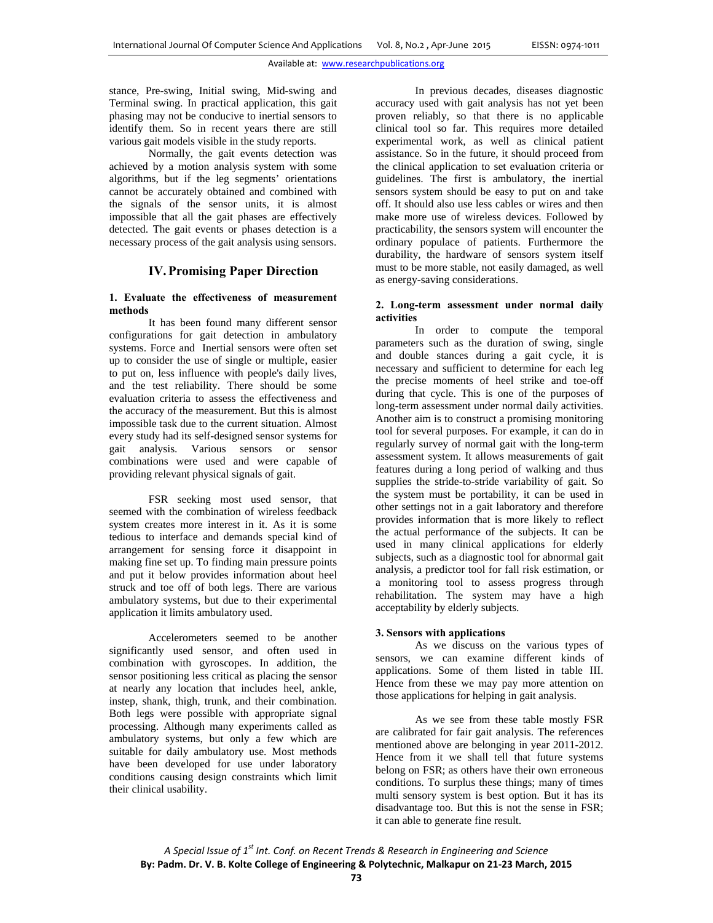stance, Pre-swing, Initial swing, Mid-swing and Terminal swing. In practical application, this gait phasing may not be conducive to inertial sensors to identify them. So in recent years there are still various gait models visible in the study reports.

Normally, the gait events detection was achieved by a motion analysis system with some algorithms, but if the leg segments' orientations cannot be accurately obtained and combined with the signals of the sensor units, it is almost impossible that all the gait phases are effectively detected. The gait events or phases detection is a necessary process of the gait analysis using sensors.

## **IV.Promising Paper Direction**

## **1. Evaluate the effectiveness of measurement methods**

It has been found many different sensor configurations for gait detection in ambulatory systems. Force and Inertial sensors were often set up to consider the use of single or multiple, easier to put on, less influence with people's daily lives, and the test reliability. There should be some evaluation criteria to assess the effectiveness and the accuracy of the measurement. But this is almost impossible task due to the current situation. Almost every study had its self-designed sensor systems for gait analysis. Various sensors or sensor combinations were used and were capable of providing relevant physical signals of gait.

FSR seeking most used sensor, that seemed with the combination of wireless feedback system creates more interest in it. As it is some tedious to interface and demands special kind of arrangement for sensing force it disappoint in making fine set up. To finding main pressure points and put it below provides information about heel struck and toe off of both legs. There are various ambulatory systems, but due to their experimental application it limits ambulatory used.

Accelerometers seemed to be another significantly used sensor, and often used in combination with gyroscopes. In addition, the sensor positioning less critical as placing the sensor at nearly any location that includes heel, ankle, instep, shank, thigh, trunk, and their combination. Both legs were possible with appropriate signal processing. Although many experiments called as ambulatory systems, but only a few which are suitable for daily ambulatory use. Most methods have been developed for use under laboratory conditions causing design constraints which limit their clinical usability.

In previous decades, diseases diagnostic accuracy used with gait analysis has not yet been proven reliably, so that there is no applicable clinical tool so far. This requires more detailed experimental work, as well as clinical patient assistance. So in the future, it should proceed from the clinical application to set evaluation criteria or guidelines. The first is ambulatory, the inertial sensors system should be easy to put on and take off. It should also use less cables or wires and then make more use of wireless devices. Followed by practicability, the sensors system will encounter the ordinary populace of patients. Furthermore the durability, the hardware of sensors system itself must to be more stable, not easily damaged, as well as energy-saving considerations.

## **2. Long-term assessment under normal daily activities**

In order to compute the temporal parameters such as the duration of swing, single and double stances during a gait cycle, it is necessary and sufficient to determine for each leg the precise moments of heel strike and toe-off during that cycle. This is one of the purposes of long-term assessment under normal daily activities. Another aim is to construct a promising monitoring tool for several purposes. For example, it can do in regularly survey of normal gait with the long-term assessment system. It allows measurements of gait features during a long period of walking and thus supplies the stride-to-stride variability of gait. So the system must be portability, it can be used in other settings not in a gait laboratory and therefore provides information that is more likely to reflect the actual performance of the subjects. It can be used in many clinical applications for elderly subjects, such as a diagnostic tool for abnormal gait analysis, a predictor tool for fall risk estimation, or a monitoring tool to assess progress through rehabilitation. The system may have a high acceptability by elderly subjects.

#### **3. Sensors with applications**

As we discuss on the various types of sensors, we can examine different kinds of applications. Some of them listed in table III. Hence from these we may pay more attention on those applications for helping in gait analysis.

As we see from these table mostly FSR are calibrated for fair gait analysis. The references mentioned above are belonging in year 2011-2012. Hence from it we shall tell that future systems belong on FSR; as others have their own erroneous conditions. To surplus these things; many of times multi sensory system is best option. But it has its disadvantage too. But this is not the sense in FSR; it can able to generate fine result.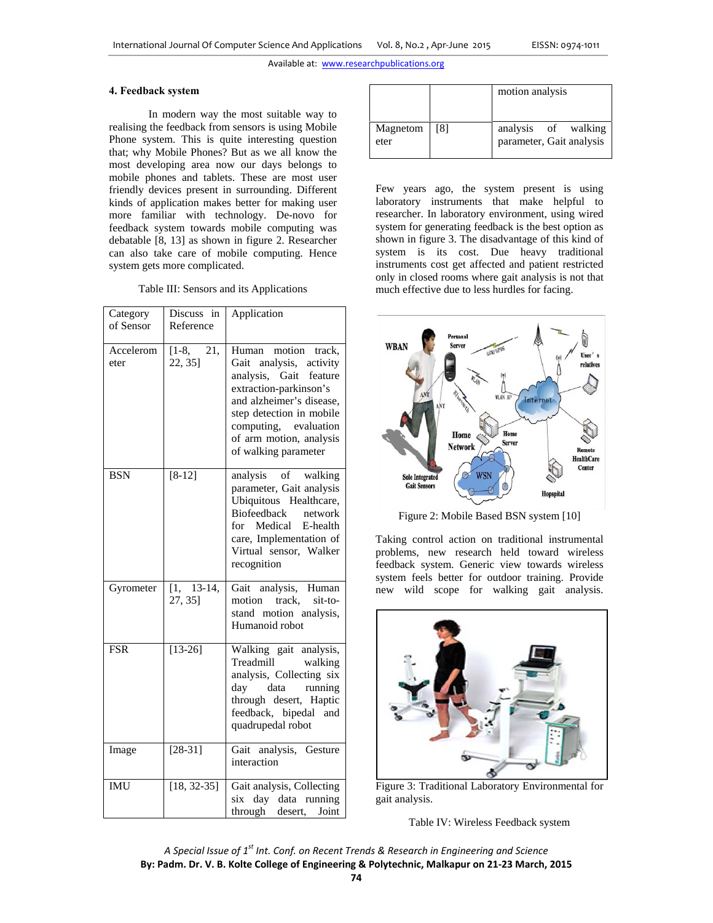#### **4. Feedback system**

In modern way the most suitable way to realising the feedback from sensors is using Mobile Phone system. This is quite interesting question that; why Mobile Phones? But as we all know the most developing area now our days belongs to mobile phones and tablets. These are most user friendly devices present in surrounding. Different kinds of application makes better for making user more familiar with technology. De-novo for feedback system towards mobile computing was debatable [8, 13] as shown in figure 2. Researcher can also take care of mobile computing. Hence system gets more complicated.

Table III: Sensors and its Applications

| Category<br>of Sensor | Discuss in<br>Reference   | Application                                                                                                                                                                                                                               |
|-----------------------|---------------------------|-------------------------------------------------------------------------------------------------------------------------------------------------------------------------------------------------------------------------------------------|
| Accelerom<br>eter     | 21,<br>$[1-8,$<br>22, 35] | Human motion track,<br>analysis, activity<br>Gait<br>analysis, Gait feature<br>extraction-parkinson's<br>and alzheimer's disease,<br>step detection in mobile<br>computing, evaluation<br>of arm motion, analysis<br>of walking parameter |
| <b>BSN</b>            | $[8-12]$                  | analysis of walking<br>parameter, Gait analysis<br>Ubiquitous Healthcare,<br><b>Biofeedback</b><br>network<br>for Medical<br>E-health<br>care, Implementation of<br>Virtual sensor, Walker<br>recognition                                 |
| Gyrometer             | $[1, 13-14,$<br>27, 35]   | Gait analysis, Human<br>motion<br>track,<br>sit-to-<br>stand motion analysis,<br>Humanoid robot                                                                                                                                           |
| <b>FSR</b>            | $[13 - 26]$               | Walking gait analysis,<br>Treadmill<br>walking<br>analysis, Collecting six<br>day data running<br>through desert, Haptic<br>feedback, bipedal<br>and<br>quadrupedal robot                                                                 |
| Image                 | $[28-31]$                 | Gait analysis, Gesture<br>interaction                                                                                                                                                                                                     |
| <b>IMU</b>            | $[18, 32-35]$             | Gait analysis, Collecting<br>day data running<br>six<br>through desert,<br>Joint                                                                                                                                                          |

|                  |     | motion analysis                                 |
|------------------|-----|-------------------------------------------------|
| Magnetom<br>eter | [8] | analysis of walking<br>parameter, Gait analysis |

Few years ago, the system present is using laboratory instruments that make helpful to researcher. In laboratory environment, using wired system for generating feedback is the best option as shown in figure 3. The disadvantage of this kind of system is its cost. Due heavy traditional instruments cost get affected and patient restricted only in closed rooms where gait analysis is not that much effective due to less hurdles for facing.



Figure 2: Mobile Based BSN system [10]

Taking control action on traditional instrumental problems, new research held toward wireless feedback system. Generic view towards wireless system feels better for outdoor training. Provide new wild scope for walking gait analysis.



Figure 3: Traditional Laboratory Environmental for gait analysis.

Table IV: Wireless Feedback system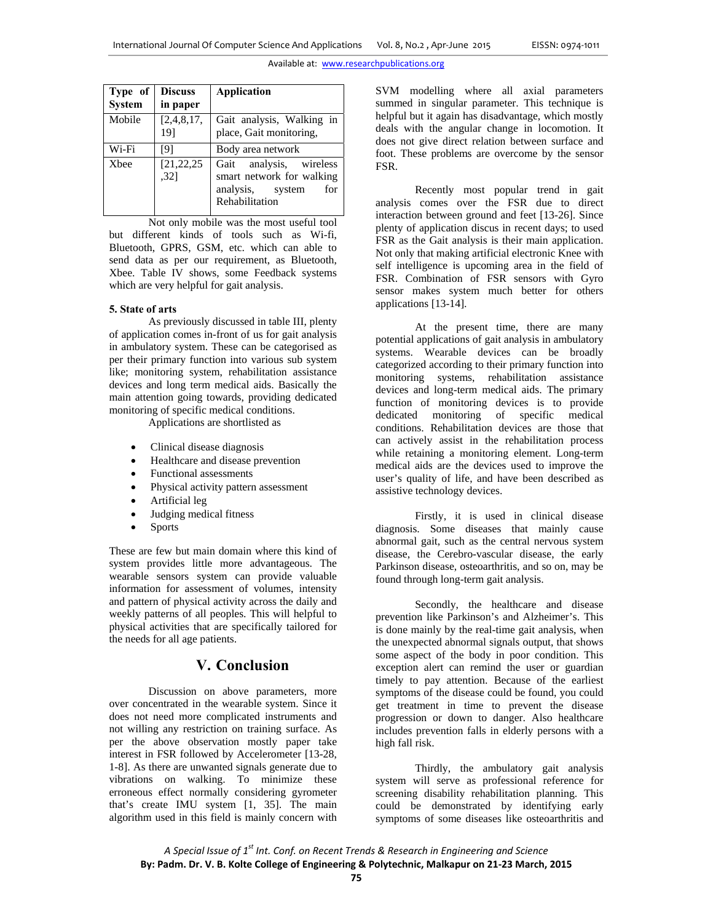| Type of<br><b>System</b> | <b>Discuss</b><br>in paper | Application                                                                                       |
|--------------------------|----------------------------|---------------------------------------------------------------------------------------------------|
| Mobile                   | [2,4,8,17]<br>19]          | Gait analysis, Walking in<br>place, Gait monitoring,                                              |
| Wi-Fi                    | [9]                        | Body area network                                                                                 |
| <b>X</b> bee             | [21, 22, 25]<br>.32]       | Gait analysis, wireless<br>smart network for walking<br>analysis, system<br>for<br>Rehabilitation |

 Not only mobile was the most useful tool but different kinds of tools such as Wi-fi, Bluetooth, GPRS, GSM, etc. which can able to send data as per our requirement, as Bluetooth, Xbee. Table IV shows, some Feedback systems which are very helpful for gait analysis.

#### **5. State of arts**

As previously discussed in table III, plenty of application comes in-front of us for gait analysis in ambulatory system. These can be categorised as per their primary function into various sub system like; monitoring system, rehabilitation assistance devices and long term medical aids. Basically the main attention going towards, providing dedicated monitoring of specific medical conditions.

Applications are shortlisted as

- Clinical disease diagnosis
- Healthcare and disease prevention
- Functional assessments
- Physical activity pattern assessment
- Artificial leg
- Judging medical fitness
- Sports

These are few but main domain where this kind of system provides little more advantageous. The wearable sensors system can provide valuable information for assessment of volumes, intensity and pattern of physical activity across the daily and weekly patterns of all peoples. This will helpful to physical activities that are specifically tailored for the needs for all age patients.

# **V. Conclusion**

Discussion on above parameters, more over concentrated in the wearable system. Since it does not need more complicated instruments and not willing any restriction on training surface. As per the above observation mostly paper take interest in FSR followed by Accelerometer [13-28, 1-8]. As there are unwanted signals generate due to vibrations on walking. To minimize these erroneous effect normally considering gyrometer that's create IMU system [1, 35]. The main algorithm used in this field is mainly concern with SVM modelling where all axial parameters summed in singular parameter. This technique is helpful but it again has disadvantage, which mostly deals with the angular change in locomotion. It does not give direct relation between surface and foot. These problems are overcome by the sensor FSR.

 Recently most popular trend in gait analysis comes over the FSR due to direct interaction between ground and feet [13-26]. Since plenty of application discus in recent days; to used FSR as the Gait analysis is their main application. Not only that making artificial electronic Knee with self intelligence is upcoming area in the field of FSR. Combination of FSR sensors with Gyro sensor makes system much better for others applications [13-14].

 At the present time, there are many potential applications of gait analysis in ambulatory systems. Wearable devices can be broadly categorized according to their primary function into monitoring systems, rehabilitation assistance devices and long-term medical aids. The primary function of monitoring devices is to provide dedicated monitoring of specific medical conditions. Rehabilitation devices are those that can actively assist in the rehabilitation process while retaining a monitoring element. Long-term medical aids are the devices used to improve the user's quality of life, and have been described as assistive technology devices.

Firstly, it is used in clinical disease diagnosis. Some diseases that mainly cause abnormal gait, such as the central nervous system disease, the Cerebro-vascular disease, the early Parkinson disease, osteoarthritis, and so on, may be found through long-term gait analysis.

Secondly, the healthcare and disease prevention like Parkinson's and Alzheimer's. This is done mainly by the real-time gait analysis, when the unexpected abnormal signals output, that shows some aspect of the body in poor condition. This exception alert can remind the user or guardian timely to pay attention. Because of the earliest symptoms of the disease could be found, you could get treatment in time to prevent the disease progression or down to danger. Also healthcare includes prevention falls in elderly persons with a high fall risk.

Thirdly, the ambulatory gait analysis system will serve as professional reference for screening disability rehabilitation planning. This could be demonstrated by identifying early symptoms of some diseases like osteoarthritis and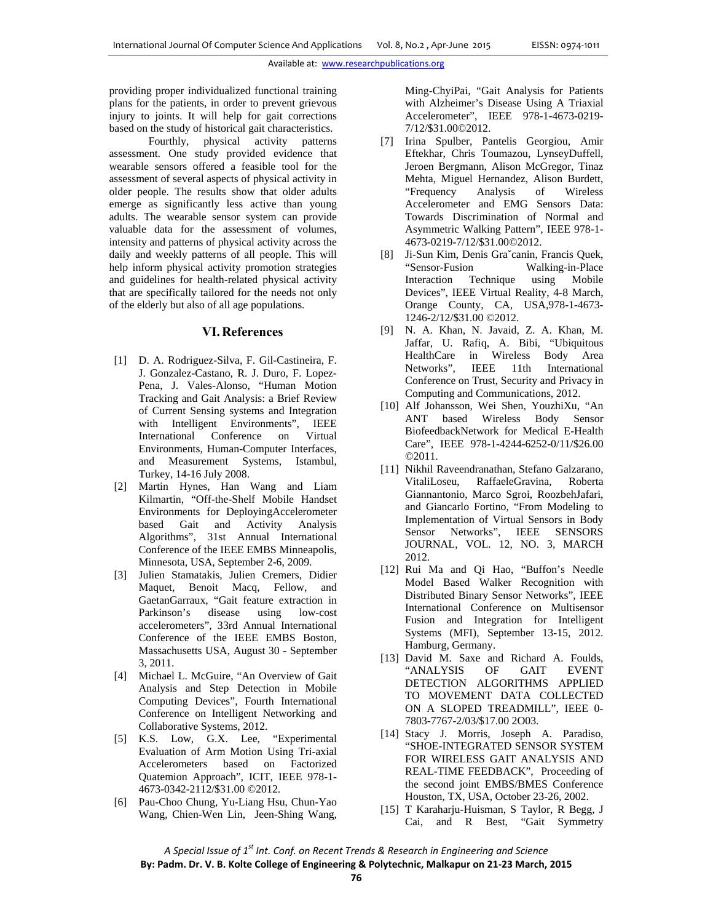providing proper individualized functional training plans for the patients, in order to prevent grievous injury to joints. It will help for gait corrections based on the study of historical gait characteristics.

Fourthly, physical activity patterns assessment. One study provided evidence that wearable sensors offered a feasible tool for the assessment of several aspects of physical activity in older people. The results show that older adults emerge as significantly less active than young adults. The wearable sensor system can provide valuable data for the assessment of volumes, intensity and patterns of physical activity across the daily and weekly patterns of all people. This will help inform physical activity promotion strategies and guidelines for health-related physical activity that are specifically tailored for the needs not only of the elderly but also of all age populations.

## **VI.References**

- [1] D. A. Rodriguez-Silva, F. Gil-Castineira, F. J. Gonzalez-Castano, R. J. Duro, F. Lopez-Pena, J. Vales-Alonso, "Human Motion Tracking and Gait Analysis: a Brief Review of Current Sensing systems and Integration with Intelligent Environments", IEEE International Conference on Virtual Environments, Human-Computer Interfaces, and Measurement Systems, Istambul, Turkey, 14-16 July 2008.
- [2] Martin Hynes, Han Wang and Liam Kilmartin, "Off-the-Shelf Mobile Handset Environments for DeployingAccelerometer based Gait and Activity Analysis Algorithms", 31st Annual International Conference of the IEEE EMBS Minneapolis, Minnesota, USA, September 2-6, 2009.
- [3] Julien Stamatakis, Julien Cremers, Didier Maquet, Benoit Macq, Fellow, and GaetanGarraux, "Gait feature extraction in Parkinson's disease using low-cost accelerometers", 33rd Annual International Conference of the IEEE EMBS Boston, Massachusetts USA, August 30 - September 3, 2011.
- [4] Michael L. McGuire, "An Overview of Gait Analysis and Step Detection in Mobile Computing Devices", Fourth International Conference on Intelligent Networking and Collaborative Systems, 2012.
- [5] K.S. Low, G.X. Lee, "Experimental Evaluation of Arm Motion Using Tri-axial Accelerometers based on Factorized Quatemion Approach", ICIT, IEEE 978-1- 4673-0342-2112/\$31.00 ©2012.
- [6] Pau-Choo Chung, Yu-Liang Hsu, Chun-Yao Wang, Chien-Wen Lin, Jeen-Shing Wang,

Ming-ChyiPai, "Gait Analysis for Patients with Alzheimer's Disease Using A Triaxial Accelerometer", IEEE 978-1-4673-0219- 7/12/\$31.00©2012.

- [7] Irina Spulber, Pantelis Georgiou, Amir Eftekhar, Chris Toumazou, LynseyDuffell, Jeroen Bergmann, Alison McGregor, Tinaz Mehta, Miguel Hernandez, Alison Burdett, "Frequency Analysis of Wireless Accelerometer and EMG Sensors Data: Towards Discrimination of Normal and Asymmetric Walking Pattern", IEEE 978-1- 4673-0219-7/12/\$31.00©2012.
- [8] Ji-Sun Kim, Denis Graˇcanin, Francis Quek, "Sensor-Fusion Walking-in-Place Interaction Technique using Mobile Devices", IEEE Virtual Reality, 4-8 March, Orange County, CA, USA,978-1-4673- 1246-2/12/\$31.00 ©2012.
- [9] N. A. Khan, N. Javaid, Z. A. Khan, M. Jaffar, U. Rafiq, A. Bibi, "Ubiquitous HealthCare in Wireless Body Area Networks", IEEE 11th International Conference on Trust, Security and Privacy in Computing and Communications, 2012.
- [10] Alf Johansson, Wei Shen, YouzhiXu, "An ANT based Wireless Body Sensor BiofeedbackNetwork for Medical E-Health Care", IEEE 978-1-4244-6252-0/11/\$26.00 ©2011.
- [11] Nikhil Raveendranathan, Stefano Galzarano, VitaliLoseu, RaffaeleGravina, Roberta Giannantonio, Marco Sgroi, RoozbehJafari, and Giancarlo Fortino, "From Modeling to Implementation of Virtual Sensors in Body Sensor Networks", IEEE SENSORS JOURNAL, VOL. 12, NO. 3, MARCH 2012.
- [12] Rui Ma and Qi Hao, "Buffon's Needle Model Based Walker Recognition with Distributed Binary Sensor Networks", IEEE International Conference on Multisensor Fusion and Integration for Intelligent Systems (MFI), September 13-15, 2012. Hamburg, Germany.
- [13] David M. Saxe and Richard A. Foulds, "ANALYSIS OF GAIT EVENT DETECTION ALGORITHMS APPLIED TO MOVEMENT DATA COLLECTED ON A SLOPED TREADMILL", IEEE 0- 7803-7767-2/03/\$17.00 2O03.
- [14] Stacy J. Morris, Joseph A. Paradiso, "SHOE-INTEGRATED SENSOR SYSTEM FOR WIRELESS GAIT ANALYSIS AND REAL-TIME FEEDBACK", Proceeding of the second joint EMBS/BMES Conference Houston, TX, USA, October 23-26, 2002.
- [15] T Karaharju-Huisman, S Taylor, R Begg, J Cai, and R Best, "Gait Symmetry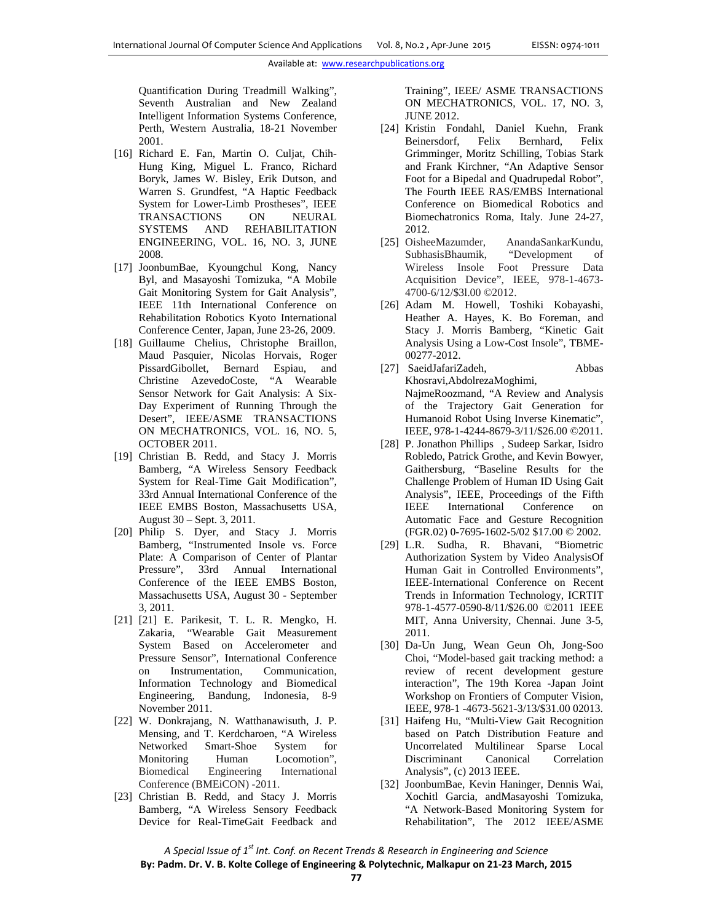Quantification During Treadmill Walking", Seventh Australian and New Zealand Intelligent Information Systems Conference, Perth, Western Australia, 18-21 November 2001.

- [16] Richard E. Fan, Martin O. Culjat, Chih-Hung King, Miguel L. Franco, Richard Boryk, James W. Bisley, Erik Dutson, and Warren S. Grundfest, "A Haptic Feedback System for Lower-Limb Prostheses", IEEE TRANSACTIONS ON NEURAL SYSTEMS AND REHABILITATION ENGINEERING, VOL. 16, NO. 3, JUNE 2008.
- [17] JoonbumBae, Kyoungchul Kong, Nancy Byl, and Masayoshi Tomizuka, "A Mobile Gait Monitoring System for Gait Analysis", IEEE 11th International Conference on Rehabilitation Robotics Kyoto International Conference Center, Japan, June 23-26, 2009.
- [18] Guillaume Chelius, Christophe Braillon, Maud Pasquier, Nicolas Horvais, Roger PissardGibollet, Bernard Espiau, and Christine AzevedoCoste, "A Wearable Sensor Network for Gait Analysis: A Six-Day Experiment of Running Through the Desert", IEEE/ASME TRANSACTIONS ON MECHATRONICS, VOL. 16, NO. 5, OCTOBER 2011.
- [19] Christian B. Redd, and Stacy J. Morris Bamberg, "A Wireless Sensory Feedback System for Real-Time Gait Modification", 33rd Annual International Conference of the IEEE EMBS Boston, Massachusetts USA, August 30 – Sept. 3, 2011.
- [20] Philip S. Dyer, and Stacy J. Morris Bamberg, "Instrumented Insole vs. Force Plate: A Comparison of Center of Plantar Pressure", 33rd Annual International Conference of the IEEE EMBS Boston, Massachusetts USA, August 30 - September 3, 2011.
- [21] [21] E. Parikesit, T. L. R. Mengko, H. Zakaria, "Wearable Gait Measurement System Based on Accelerometer and Pressure Sensor", International Conference on Instrumentation, Communication, Information Technology and Biomedical Engineering, Bandung, Indonesia, 8-9 November 2011.
- [22] W. Donkrajang, N. Watthanawisuth, J. P. Mensing, and T. Kerdcharoen, "A Wireless Networked Smart-Shoe System for Monitoring Human Locomotion", Biomedical Engineering International Conference (BMEiCON) -2011.
- [23] Christian B. Redd, and Stacy J. Morris Bamberg, "A Wireless Sensory Feedback Device for Real-TimeGait Feedback and

Training", IEEE/ ASME TRANSACTIONS ON MECHATRONICS, VOL. 17, NO. 3, JUNE 2012.

- [24] Kristin Fondahl, Daniel Kuehn, Frank Beinersdorf, Felix Bernhard, Felix Grimminger, Moritz Schilling, Tobias Stark and Frank Kirchner, "An Adaptive Sensor Foot for a Bipedal and Quadrupedal Robot", The Fourth IEEE RAS/EMBS International Conference on Biomedical Robotics and Biomechatronics Roma, Italy. June 24-27, 2012.
- [25] OisheeMazumder, AnandaSankarKundu, SubhasisBhaumik, "Development of Wireless Insole Foot Pressure Data Acquisition Device", IEEE, 978-1-4673- 4700-6/12/\$3l.00 ©2012.
- [26] Adam M. Howell, Toshiki Kobayashi, Heather A. Hayes, K. Bo Foreman, and Stacy J. Morris Bamberg, "Kinetic Gait Analysis Using a Low-Cost Insole", TBME-00277-2012.
- [27] SaeidJafariZadeh, Abbas Khosravi,AbdolrezaMoghimi, NajmeRoozmand, "A Review and Analysis of the Trajectory Gait Generation for Humanoid Robot Using Inverse Kinematic", IEEE, 978-1-4244-8679-3/11/\$26.00 ©2011.
- [28] P. Jonathon Phillips, Sudeep Sarkar, Isidro Robledo, Patrick Grothe, and Kevin Bowyer, Gaithersburg, "Baseline Results for the Challenge Problem of Human ID Using Gait Analysis", IEEE, Proceedings of the Fifth IEEE International Conference on Automatic Face and Gesture Recognition (FGR.02) 0-7695-1602-5/02 \$17.00 © 2002.
- [29] L.R. Sudha, R. Bhavani, "Biometric Authorization System by Video AnalysisOf Human Gait in Controlled Environments", IEEE-International Conference on Recent Trends in Information Technology, ICRTIT 978-1-4577-0590-8/11/\$26.00 ©2011 IEEE MIT, Anna University, Chennai. June 3-5, 2011.
- [30] Da-Un Jung, Wean Geun Oh, Jong-Soo Choi, "Model-based gait tracking method: a review of recent development gesture interaction", The 19th Korea -Japan Joint Workshop on Frontiers of Computer Vision, IEEE, 978-1 -4673-5621-3/13/\$31.00 02013.
- [31] Haifeng Hu, "Multi-View Gait Recognition based on Patch Distribution Feature and Uncorrelated Multilinear Sparse Local Discriminant Canonical Correlation Analysis", (c) 2013 IEEE.
- [32] JoonbumBae, Kevin Haninger, Dennis Wai, Xochitl Garcia, andMasayoshi Tomizuka, "A Network-Based Monitoring System for Rehabilitation", The 2012 IEEE/ASME